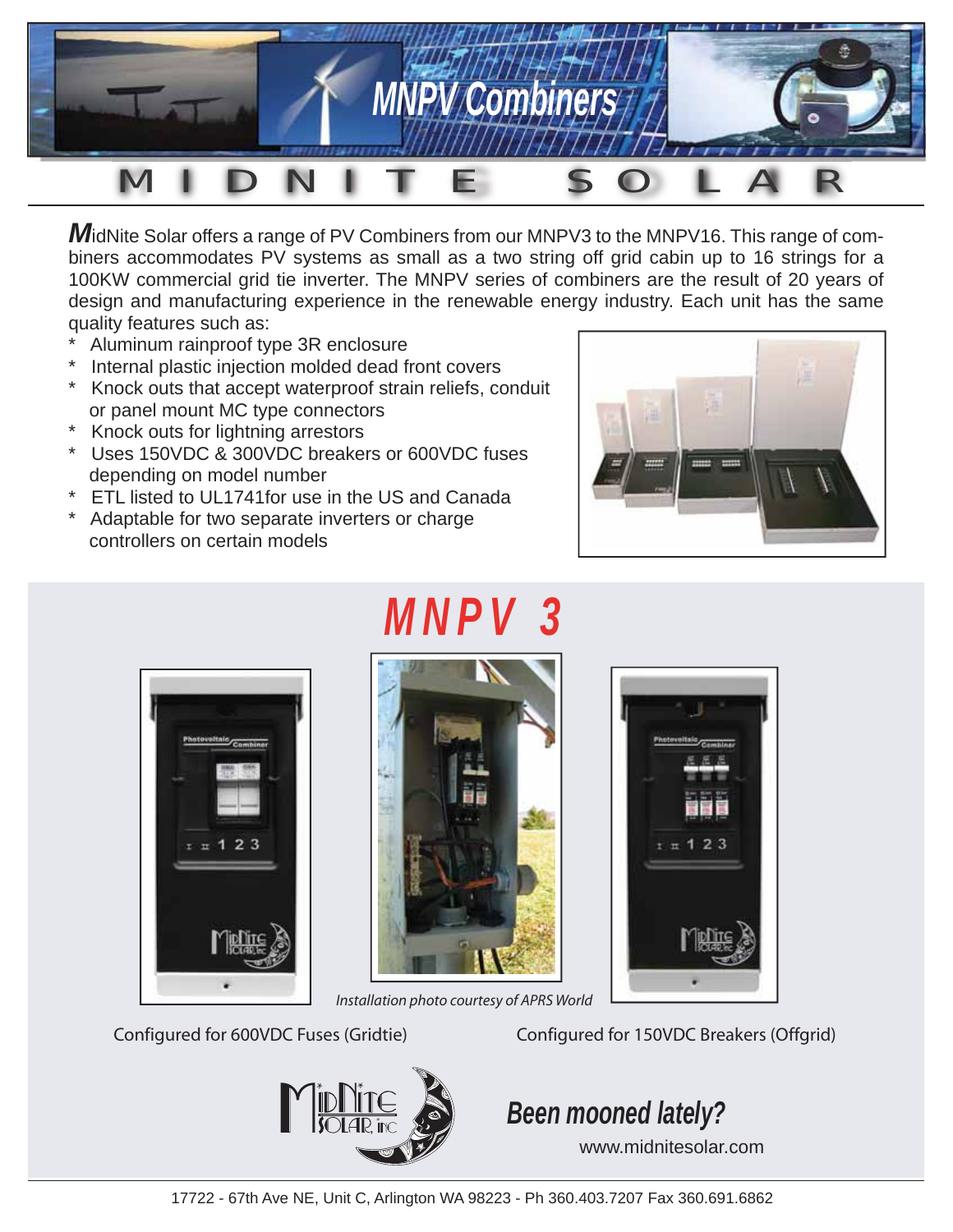

**M**idNite Solar offers a range of PV Combiners from our MNPV3 to the MNPV16. This range of combiners accommodates PV systems as small as a two string off grid cabin up to 16 strings for a 100KW commercial grid tie inverter. The MNPV series of combiners are the result of 20 years of design and manufacturing experience in the renewable energy industry. Each unit has the same quality features such as:

- Aluminum rainproof type 3R enclosure
- Internal plastic injection molded dead front covers
- Knock outs that accept waterproof strain reliefs, conduit or panel mount MC type connectors
- \* Knock outs for lightning arrestors
- \* Uses 150VDC & 300VDC breakers or 600VDC fuses depending on model number
- \* ETL listed to UL1741for use in the US and Canada
- \* Adaptable for two separate inverters or charge controllers on certain models





## *MNPV 3*



*Installation photo courtesy of APRS World* 



Configured for 600VDC Fuses (Gridtie) Configured for 150VDC Breakers (Offgrid)



## *Been mooned lately?*

www.midnitesolar.com